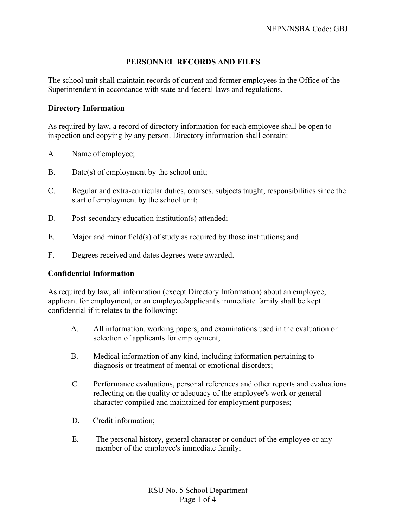## **PERSONNEL RECORDS AND FILES**

The school unit shall maintain records of current and former employees in the Office of the Superintendent in accordance with state and federal laws and regulations.

### **Directory Information**

As required by law, a record of directory information for each employee shall be open to inspection and copying by any person. Directory information shall contain:

- A. Name of employee;
- B. Date(s) of employment by the school unit:
- C. Regular and extra-curricular duties, courses, subjects taught, responsibilities since the start of employment by the school unit;
- D. Post-secondary education institution(s) attended;
- E. Major and minor field(s) of study as required by those institutions; and
- F. Degrees received and dates degrees were awarded.

### **Confidential Information**

As required by law, all information (except Directory Information) about an employee, applicant for employment, or an employee/applicant's immediate family shall be kept confidential if it relates to the following:

- A. All information, working papers, and examinations used in the evaluation or selection of applicants for employment,
- B. Medical information of any kind, including information pertaining to diagnosis or treatment of mental or emotional disorders;
- C. Performance evaluations, personal references and other reports and evaluations reflecting on the quality or adequacy of the employee's work or general character compiled and maintained for employment purposes;
- D. Credit information;
- E. The personal history, general character or conduct of the employee or any member of the employee's immediate family;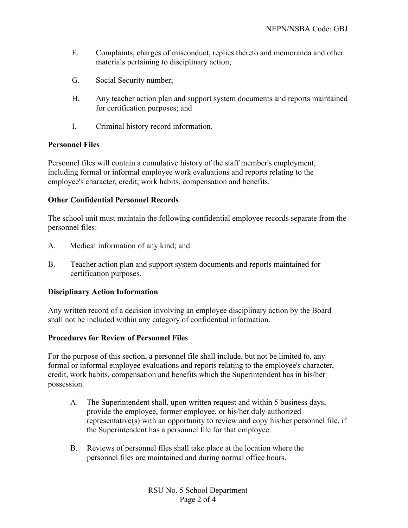- F. Complaints, charges of misconduct, replies thereto and memoranda and other materials pertaining to disciplinary action;
- G. Social Security number;
- H. Any teacher action plan and support system documents and reports maintained for certification purposes; and
- I. Criminal history record information.

### **Personnel Files**

Personnel files will contain a cumulative history of the staff member's employment, including formal or informal employee work evaluations and reports relating to the employee's character, credit, work habits, compensation and benefits.

### **Other Confidential Personnel Records**

The school unit must maintain the following confidential employee records separate from the personnel files:

- A. Medical information of any kind; and
- B. Teacher action plan and support system documents and reports maintained for certification purposes.

### **Disciplinary Action Information**

Any written record of a decision involving an employee disciplinary action by the Board shall not be included within any category of confidential information.

### **Procedures for Review of Personnel Files**

For the purpose of this section, a personnel file shall include, but not be limited to, any formal or informal employee evaluations and reports relating to the employee's character, credit, work habits, compensation and benefits which the Superintendent has in his/her possession.

- A. The Superintendent shall, upon written request and within 5 business days, provide the employee, former employee, or his/her duly authorized representative(s) with an opportunity to review and copy his/her personnel file, if the Superintendent has a personnel file for that employee.
- B. Reviews of personnel files shall take place at the location where the personnel files are maintained and during normal office hours.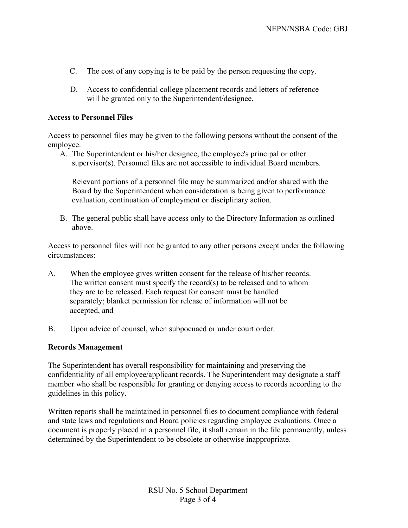- C. The cost of any copying is to be paid by the person requesting the copy.
- D. Access to confidential college placement records and letters of reference will be granted only to the Superintendent/designee.

#### **Access to Personnel Files**

Access to personnel files may be given to the following persons without the consent of the employee.

A. The Superintendent or his/her designee, the employee's principal or other supervisor(s). Personnel files are not accessible to individual Board members.

Relevant portions of a personnel file may be summarized and/or shared with the Board by the Superintendent when consideration is being given to performance evaluation, continuation of employment or disciplinary action.

B. The general public shall have access only to the Directory Information as outlined above.

Access to personnel files will not be granted to any other persons except under the following circumstances:

- A. When the employee gives written consent for the release of his/her records. The written consent must specify the record(s) to be released and to whom they are to be released. Each request for consent must be handled separately; blanket permission for release of information will not be accepted, and
- B. Upon advice of counsel, when subpoenaed or under court order.

#### **Records Management**

The Superintendent has overall responsibility for maintaining and preserving the confidentiality of all employee/applicant records. The Superintendent may designate a staff member who shall be responsible for granting or denying access to records according to the guidelines in this policy.

Written reports shall be maintained in personnel files to document compliance with federal and state laws and regulations and Board policies regarding employee evaluations. Once a document is properly placed in a personnel file, it shall remain in the file permanently, unless determined by the Superintendent to be obsolete or otherwise inappropriate.